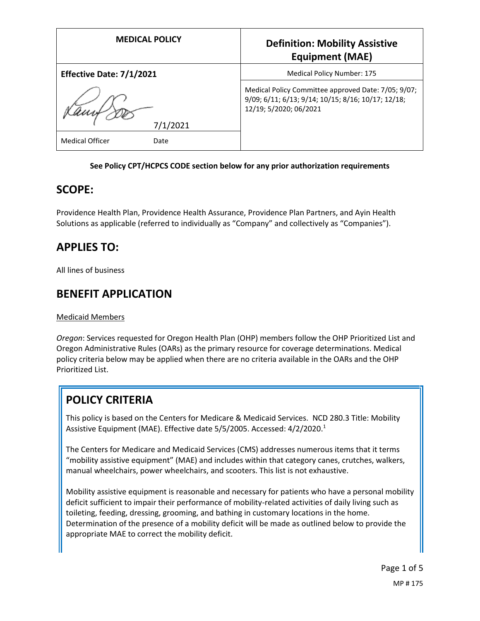| <b>MEDICAL POLICY</b>          | <b>Definition: Mobility Assistive</b><br><b>Equipment (MAE)</b>                                                                     |
|--------------------------------|-------------------------------------------------------------------------------------------------------------------------------------|
| Effective Date: 7/1/2021       | Medical Policy Number: 175                                                                                                          |
| 7/1/2021                       | Medical Policy Committee approved Date: 7/05; 9/07;<br>9/09; 6/11; 6/13; 9/14; 10/15; 8/16; 10/17; 12/18;<br>12/19; 5/2020; 06/2021 |
| <b>Medical Officer</b><br>Date |                                                                                                                                     |

#### **See Policy CPT/HCPCS CODE section below for any prior authorization requirements**

### **SCOPE:**

Providence Health Plan, Providence Health Assurance, Providence Plan Partners, and Ayin Health Solutions as applicable (referred to individually as "Company" and collectively as "Companies").

### **APPLIES TO:**

All lines of business

### **BENEFIT APPLICATION**

#### Medicaid Members

*Oregon*: Services requested for Oregon Health Plan (OHP) members follow the OHP Prioritized List and Oregon Administrative Rules (OARs) as the primary resource for coverage determinations. Medical policy criteria below may be applied when there are no criteria available in the OARs and the OHP Prioritized List.

## **POLICY CRITERIA**

This policy is based on the Centers for Medicare & Medicaid Services. NCD 280.3 Title: Mobility Assistive Equipment (MAE). Effective date 5/5/2005. Accessed: 4/2/2020.<sup>1</sup>

The Centers for Medicare and Medicaid Services (CMS) addresses numerous items that it terms "mobility assistive equipment" (MAE) and includes within that category canes, crutches, walkers, manual wheelchairs, power wheelchairs, and scooters. This list is not exhaustive.

Mobility assistive equipment is reasonable and necessary for patients who have a personal mobility deficit sufficient to impair their performance of mobility-related activities of daily living such as toileting, feeding, dressing, grooming, and bathing in customary locations in the home. Determination of the presence of a mobility deficit will be made as outlined below to provide the appropriate MAE to correct the mobility deficit.

> Page 1 of 5 MP # 175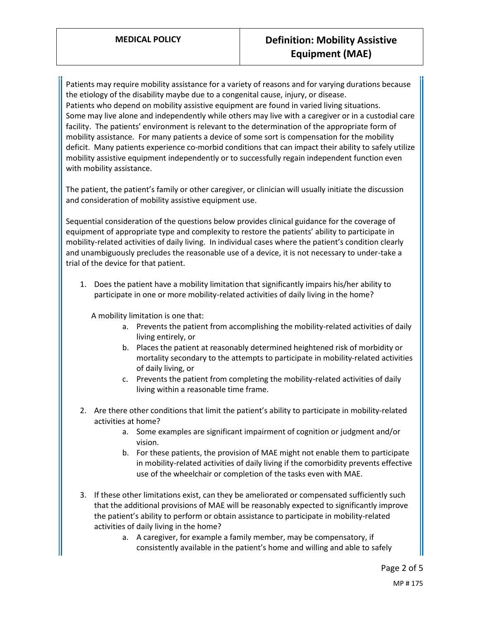Patients may require mobility assistance for a variety of reasons and for varying durations because the etiology of the disability maybe due to a congenital cause, injury, or disease. Patients who depend on mobility assistive equipment are found in varied living situations. Some may live alone and independently while others may live with a caregiver or in a custodial care facility. The patients' environment is relevant to the determination of the appropriate form of mobility assistance. For many patients a device of some sort is compensation for the mobility deficit. Many patients experience co-morbid conditions that can impact their ability to safely utilize mobility assistive equipment independently or to successfully regain independent function even with mobility assistance.

The patient, the patient's family or other caregiver, or clinician will usually initiate the discussion and consideration of mobility assistive equipment use.

Sequential consideration of the questions below provides clinical guidance for the coverage of equipment of appropriate type and complexity to restore the patients' ability to participate in mobility-related activities of daily living. In individual cases where the patient's condition clearly and unambiguously precludes the reasonable use of a device, it is not necessary to under-take a trial of the device for that patient.

1. Does the patient have a mobility limitation that significantly impairs his/her ability to participate in one or more mobility-related activities of daily living in the home?

A mobility limitation is one that:

- a. Prevents the patient from accomplishing the mobility-related activities of daily living entirely, or
- b. Places the patient at reasonably determined heightened risk of morbidity or mortality secondary to the attempts to participate in mobility-related activities of daily living, or
- c. Prevents the patient from completing the mobility-related activities of daily living within a reasonable time frame.
- 2. Are there other conditions that limit the patient's ability to participate in mobility-related activities at home?
	- a. Some examples are significant impairment of cognition or judgment and/or vision.
	- b. For these patients, the provision of MAE might not enable them to participate in mobility-related activities of daily living if the comorbidity prevents effective use of the wheelchair or completion of the tasks even with MAE.
- 3. If these other limitations exist, can they be ameliorated or compensated sufficiently such that the additional provisions of MAE will be reasonably expected to significantly improve the patient's ability to perform or obtain assistance to participate in mobility-related activities of daily living in the home?
	- a. A caregiver, for example a family member, may be compensatory, if consistently available in the patient's home and willing and able to safely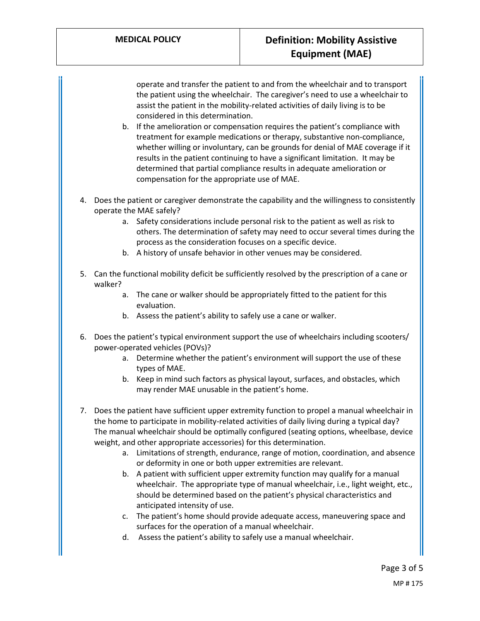operate and transfer the patient to and from the wheelchair and to transport the patient using the wheelchair. The caregiver's need to use a wheelchair to assist the patient in the mobility-related activities of daily living is to be considered in this determination.

- b. If the amelioration or compensation requires the patient's compliance with treatment for example medications or therapy, substantive non-compliance, whether willing or involuntary, can be grounds for denial of MAE coverage if it results in the patient continuing to have a significant limitation. It may be determined that partial compliance results in adequate amelioration or compensation for the appropriate use of MAE.
- 4. Does the patient or caregiver demonstrate the capability and the willingness to consistently operate the MAE safely?
	- a. Safety considerations include personal risk to the patient as well as risk to others. The determination of safety may need to occur several times during the process as the consideration focuses on a specific device.
	- b. A history of unsafe behavior in other venues may be considered.
- 5. Can the functional mobility deficit be sufficiently resolved by the prescription of a cane or walker?
	- a. The cane or walker should be appropriately fitted to the patient for this evaluation.
	- b. Assess the patient's ability to safely use a cane or walker.
- 6. Does the patient's typical environment support the use of wheelchairs including scooters/ power-operated vehicles (POVs)?
	- a. Determine whether the patient's environment will support the use of these types of MAE.
	- b. Keep in mind such factors as physical layout, surfaces, and obstacles, which may render MAE unusable in the patient's home.
- 7. Does the patient have sufficient upper extremity function to propel a manual wheelchair in the home to participate in mobility-related activities of daily living during a typical day? The manual wheelchair should be optimally configured (seating options, wheelbase, device weight, and other appropriate accessories) for this determination.
	- a. Limitations of strength, endurance, range of motion, coordination, and absence or deformity in one or both upper extremities are relevant.
	- b. A patient with sufficient upper extremity function may qualify for a manual wheelchair. The appropriate type of manual wheelchair, i.e., light weight, etc., should be determined based on the patient's physical characteristics and anticipated intensity of use.
	- c. The patient's home should provide adequate access, maneuvering space and surfaces for the operation of a manual wheelchair.
	- d. Assess the patient's ability to safely use a manual wheelchair.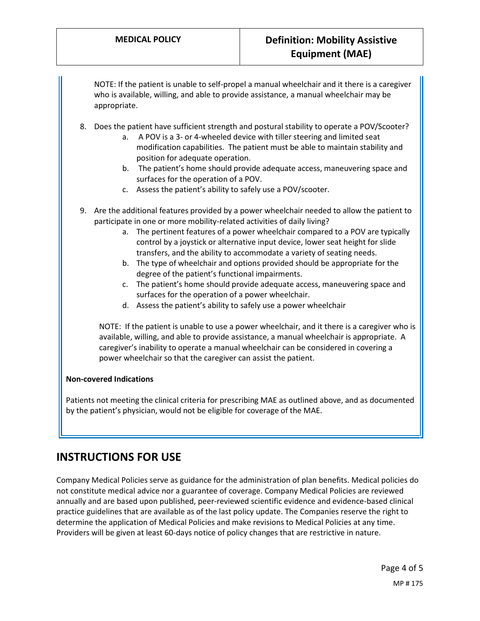NOTE: If the patient is unable to self-propel a manual wheelchair and it there is a caregiver who is available, willing, and able to provide assistance, a manual wheelchair may be appropriate.

- 8. Does the patient have sufficient strength and postural stability to operate a POV/Scooter?
	- a. A POV is a 3- or 4-wheeled device with tiller steering and limited seat modification capabilities. The patient must be able to maintain stability and position for adequate operation.
	- b. The patient's home should provide adequate access, maneuvering space and surfaces for the operation of a POV.
	- c. Assess the patient's ability to safely use a POV/scooter.
- 9. Are the additional features provided by a power wheelchair needed to allow the patient to participate in one or more mobility-related activities of daily living?
	- a. The pertinent features of a power wheelchair compared to a POV are typically control by a joystick or alternative input device, lower seat height for slide transfers, and the ability to accommodate a variety of seating needs.
	- b. The type of wheelchair and options provided should be appropriate for the degree of the patient's functional impairments.
	- c. The patient's home should provide adequate access, maneuvering space and surfaces for the operation of a power wheelchair.
	- d. Assess the patient's ability to safely use a power wheelchair

NOTE: If the patient is unable to use a power wheelchair, and it there is a caregiver who is available, willing, and able to provide assistance, a manual wheelchair is appropriate. A caregiver's inability to operate a manual wheelchair can be considered in covering a power wheelchair so that the caregiver can assist the patient.

#### **Non-covered Indications**

Patients not meeting the clinical criteria for prescribing MAE as outlined above, and as documented by the patient's physician, would not be eligible for coverage of the MAE.

### **INSTRUCTIONS FOR USE**

Company Medical Policies serve as guidance for the administration of plan benefits. Medical policies do not constitute medical advice nor a guarantee of coverage. Company Medical Policies are reviewed annually and are based upon published, peer-reviewed scientific evidence and evidence-based clinical practice guidelines that are available as of the last policy update. The Companies reserve the right to determine the application of Medical Policies and make revisions to Medical Policies at any time. Providers will be given at least 60-days notice of policy changes that are restrictive in nature.